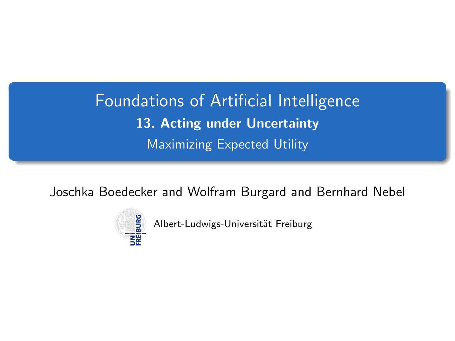<span id="page-0-0"></span>Foundations of Artificial Intelligence 13. Acting under Uncertainty Maximizing Expected Utility

Joschka Boedecker and Wolfram Burgard and Bernhard Nebel



Albert-Ludwigs-Universität Freiburg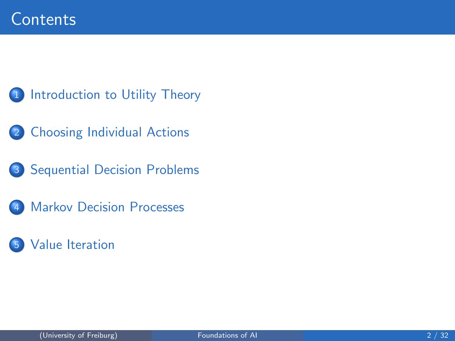- 1 [Introduction to Utility Theory](#page-2-0)
- 2 [Choosing Individual Actions](#page-4-0)
- 3 [Sequential Decision Problems](#page-11-0)
- **[Markov Decision Processes](#page-13-0)**
- [Value Iteration](#page-18-0)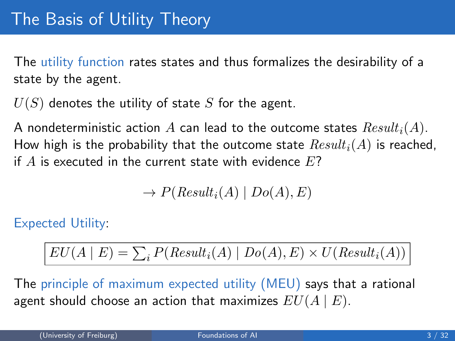<span id="page-2-0"></span>The utility function rates states and thus formalizes the desirability of a state by the agent.

 $U(S)$  denotes the utility of state S for the agent.

A nondeterministic action A can lead to the outcome states  $Result_i(A)$ . How high is the probability that the outcome state  $Result_i(A)$  is reached, if  $A$  is executed in the current state with evidence  $E$ ?

$$
\to P(Result_i(A) | Do(A), E)
$$

Expected Utility:

$$
EU(A | E) = \sum_{i} P(Result_i(A) | Do(A), E) \times U(Result_i(A))
$$

The principle of maximum expected utility (MEU) says that a rational agent should choose an action that maximizes  $EU(A | E)$ .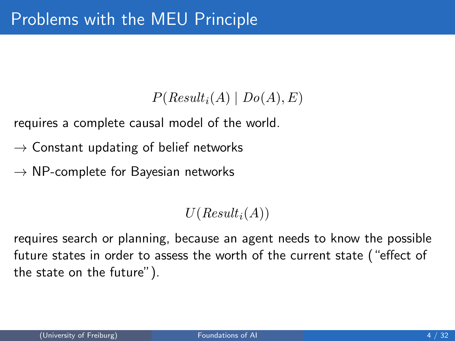## $P(Result_i(A) | Do(A), E)$

requires a complete causal model of the world.

- $\rightarrow$  Constant updating of belief networks
- $\rightarrow$  NP-complete for Bayesian networks

 $U(Result_i(A))$ 

requires search or planning, because an agent needs to know the possible future states in order to assess the worth of the current state ("effect of the state on the future").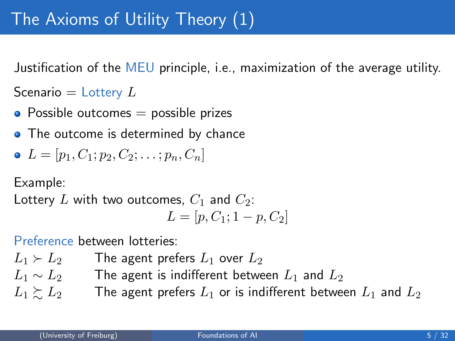<span id="page-4-0"></span>Justification of the MEU principle, i.e., maximization of the average utility.

Scenario  $=$  Lottery  $L$ 

- Possible outcomes  $=$  possible prizes
- The outcome is determined by chance

• 
$$
L = [p_1, C_1; p_2, C_2; \ldots; p_n, C_n]
$$

Example:

Lottery L with two outcomes,  $C_1$  and  $C_2$ :

$$
L = [p, C_1; 1-p, C_2]
$$

Preference between lotteries:

 $L_1 \succ L_2$  The agent prefers  $L_1$  over  $L_2$  $L_1 \sim L_2$  The agent is indifferent between  $L_1$  and  $L_2$  $L_1 \succeq L_2$  The agent prefers  $L_1$  or is indifferent between  $L_1$  and  $L_2$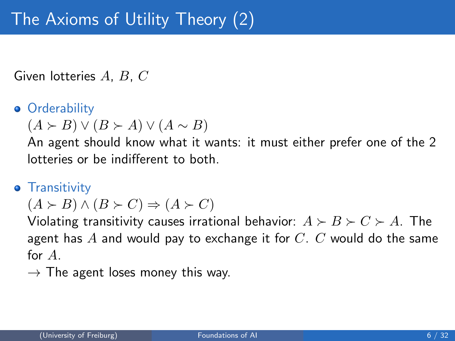Given lotteries A, B, C

### **•** Orderability

 $(A \succ B) \vee (B \succ A) \vee (A \sim B)$ 

An agent should know what it wants: it must either prefer one of the 2 lotteries or be indifferent to both.

#### **•** Transitivity

 $(A \succ B) \wedge (B \succ C) \Rightarrow (A \succ C)$ 

Violating transitivity causes irrational behavior:  $A \succ B \succ C \succ A$ . The agent has  $A$  and would pay to exchange it for  $C$ .  $C$  would do the same for  $A$ 

 $\rightarrow$  The agent loses money this way.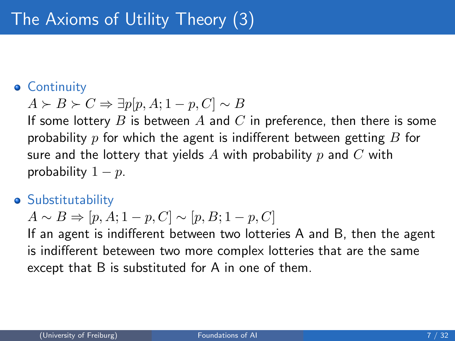### **• Continuity**

$$
A \succ B \succ C \Rightarrow \exists p[p, A; 1 - p, C] \sim B
$$

If some lottery B is between A and C in preference, then there is some probability p for which the agent is indifferent between getting  $B$  for sure and the lottery that yields A with probability p and C with probability  $1 - p$ .

#### **•** Substitutability

$$
A \sim B \Rightarrow [p, A; 1 - p, C] \sim [p, B; 1 - p, C]
$$

If an agent is indifferent between two lotteries A and B, then the agent is indifferent beteween two more complex lotteries that are the same except that B is substituted for A in one of them.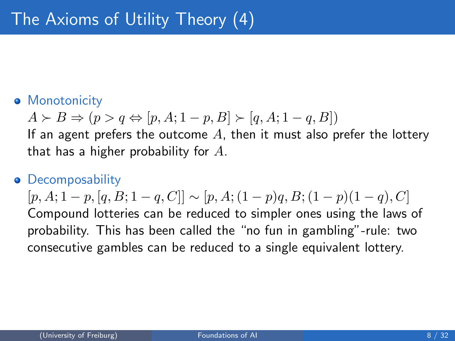### **• Monotonicity**

$$
A \succ B \Rightarrow (p > q \Leftrightarrow [p, A; 1 - p, B] \succ [q, A; 1 - q, B])
$$

If an agent prefers the outcome  $A$ , then it must also prefer the lottery that has a higher probability for  $A$ .

#### **•** Decomposability

 $[p, A; 1-p, [q, B; 1-q, C]] \sim [p, A; (1-p)q, B; (1-p)(1-q), C]$ Compound lotteries can be reduced to simpler ones using the laws of probability. This has been called the "no fun in gambling"-rule: two consecutive gambles can be reduced to a single equivalent lottery.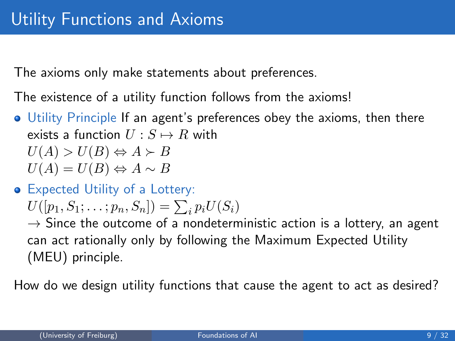The axioms only make statements about preferences.

The existence of a utility function follows from the axioms!

- Utility Principle If an agent's preferences obey the axioms, then there exists a function  $U : S \mapsto R$  with  $U(A) > U(B) \Leftrightarrow A \succ B$ 
	- $U(A) = U(B) \Leftrightarrow A \sim B$
- Expected Utility of a Lottery:

$$
U([p_1, S_1; \ldots; p_n, S_n]) = \sum_i p_i U(S_i)
$$

 $\rightarrow$  Since the outcome of a nondeterministic action is a lottery, an agent can act rationally only by following the Maximum Expected Utility (MEU) principle.

How do we design utility functions that cause the agent to act as desired?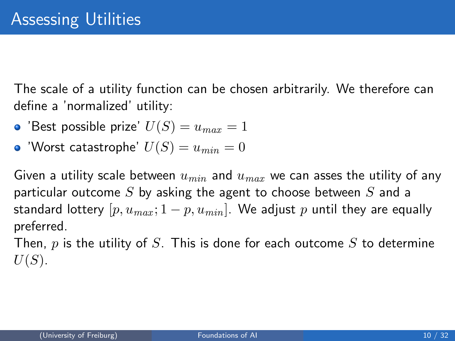The scale of a utility function can be chosen arbitrarily. We therefore can define a 'normalized' utility:

- 'Best possible prize'  $U(S) = u_{max} = 1$
- 'Worst catastrophe'  $U(S) = u_{min} = 0$

Given a utility scale between  $u_{min}$  and  $u_{max}$  we can asses the utility of any particular outcome S by asking the agent to choose between S and a standard lottery  $[p, u_{max}; 1-p, u_{min}]$ . We adjust p until they are equally preferred.

Then,  $p$  is the utility of  $S$ . This is done for each outcome  $S$  to determine  $U(S)$ .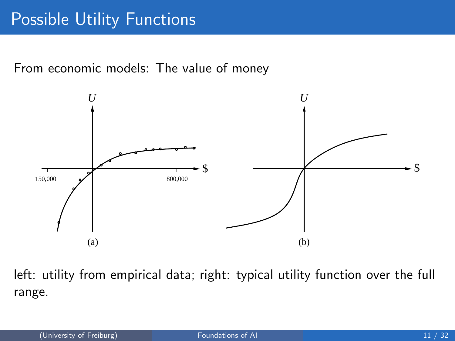# Possible Utility Functions

From economic models: The value of money



left: utility from empirical data; right: typical utility function over the full range.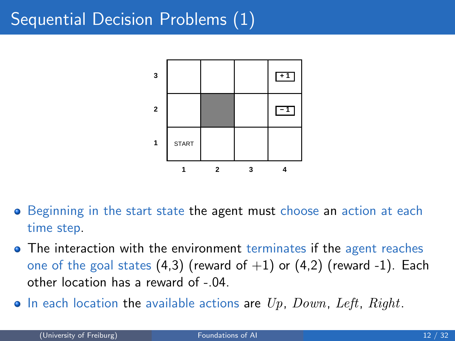# <span id="page-11-0"></span>Sequential Decision Problems (1)



- Beginning in the start state the agent must choose an action at each time step.
- The interaction with the environment terminates if the agent reaches one of the goal states  $(4,3)$  (reward of  $+1$ ) or  $(4,2)$  (reward -1). Each other location has a reward of -.04.
- $\bullet$  In each location the available actions are  $Up$ ,  $Down$ ,  $Left$ ,  $Right$ .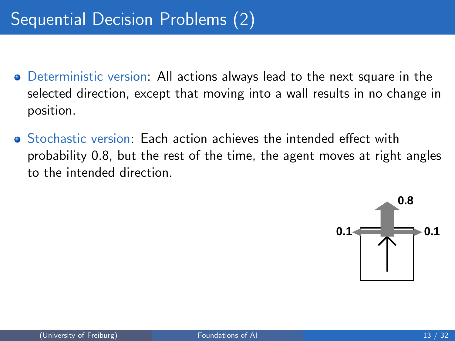- Deterministic version: All actions always lead to the next square in the selected direction, except that moving into a wall results in no change in position.
- Stochastic version: Each action achieves the intended effect with probability 0.8, but the rest of the time, the agent moves at right angles to the intended direction.

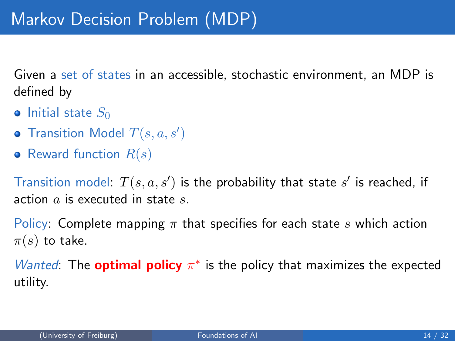<span id="page-13-0"></span>Given a set of states in an accessible, stochastic environment, an MDP is defined by

- $\bullet$  Initial state  $S_0$
- Transition Model  $T(s, a, s')$
- Reward function  $R(s)$

Transition model:  $T(s, a, s')$  is the probability that state  $s'$  is reached, if action  $a$  is executed in state  $s$ .

Policy: Complete mapping  $\pi$  that specifies for each state s which action  $\pi(s)$  to take.

Wanted: The **optimal policy**  $\pi^*$  is the policy that maximizes the expected utility.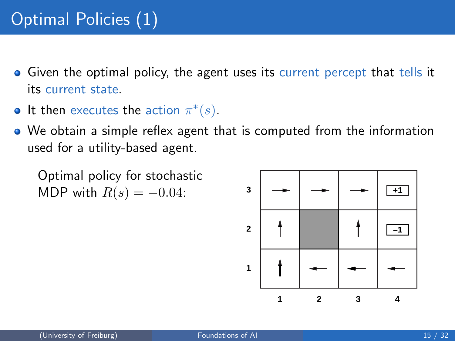# Optimal Policies (1)

- **•** Given the optimal policy, the agent uses its current percept that tells it its current state.
- It then executes the action  $\pi^*(s)$ .
- We obtain a simple reflex agent that is computed from the information used for a utility-based agent.

Optimal policy for stochastic MDP with  $R(s) = -0.04$ :

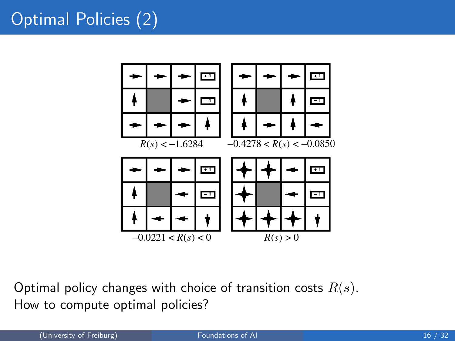# Optimal Policies (2)



Optimal policy changes with choice of transition costs  $R(s)$ . How to compute optimal policies?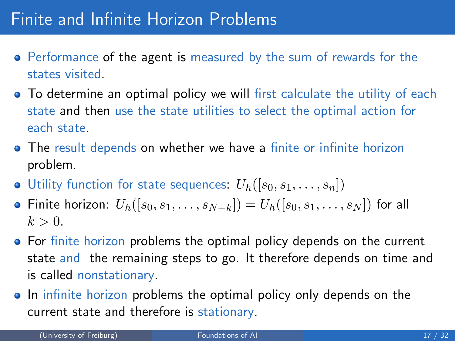# Finite and Infinite Horizon Problems

- Performance of the agent is measured by the sum of rewards for the states visited.
- **•** To determine an optimal policy we will first calculate the utility of each state and then use the state utilities to select the optimal action for each state.
- The result depends on whether we have a finite or infinite horizon problem.
- $\bullet$  Utility function for state sequences:  $U_h([s_0, s_1, \ldots, s_n])$
- Finite horizon:  $U_h([s_0, s_1, \ldots, s_{N+k}]) = U_h([s_0, s_1, \ldots, s_N])$  for all  $k > 0$ .
- For finite horizon problems the optimal policy depends on the current state and the remaining steps to go. It therefore depends on time and is called nonstationary.
- In infinite horizon problems the optimal policy only depends on the current state and therefore is stationary.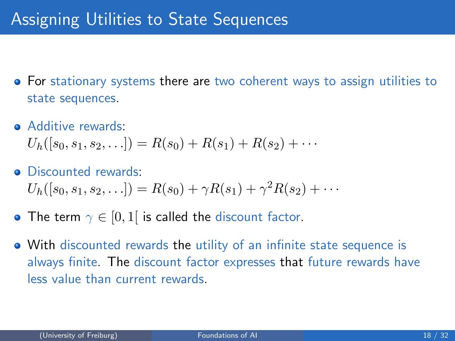- For stationary systems there are two coherent ways to assign utilities to state sequences.
- Additive rewards:

 $U_h([s_0, s_1, s_2, \ldots]) = R(s_0) + R(s_1) + R(s_2) + \cdots$ 

- Discounted rewards:  $U_h([s_0, s_1, s_2, \ldots]) = R(s_0) + \gamma R(s_1) + \gamma^2 R(s_2) + \cdots$
- The term  $\gamma \in [0,1]$  is called the discount factor.
- With discounted rewards the utility of an infinite state sequence is always finite. The discount factor expresses that future rewards have less value than current rewards.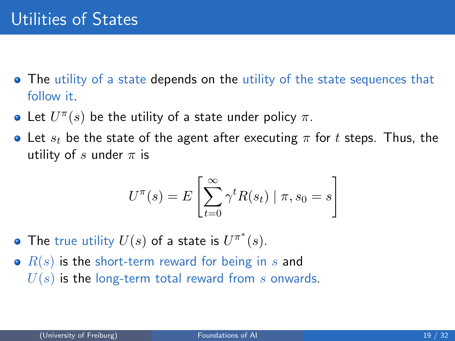- <span id="page-18-0"></span>• The utility of a state depends on the utility of the state sequences that follow it.
- Let  $U^{\pi}(s)$  be the utility of a state under policy  $\pi$ .
- Let  $s_t$  be the state of the agent after executing  $\pi$  for t steps. Thus, the utility of s under  $\pi$  is

$$
U^{\pi}(s) = E\left[\sum_{t=0}^{\infty} \gamma^t R(s_t) \mid \pi, s_0 = s\right]
$$

- The true utility  $U(s)$  of a state is  $U^{\pi^*}(s)$ .
- $\bullet$   $R(s)$  is the short-term reward for being in s and  $U(s)$  is the long-term total reward from s onwards.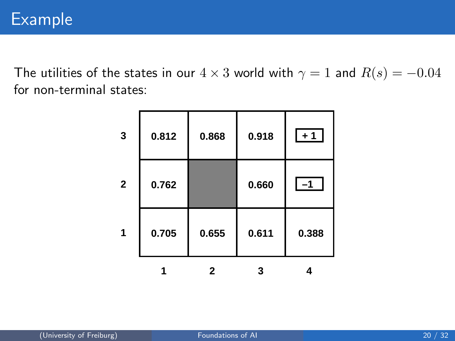The utilities of the states in our  $4 \times 3$  world with  $\gamma = 1$  and  $R(s) = -0.04$ for non-terminal states:

|              | 0.705 | 0.655 | 0.611 | 0.388 |
|--------------|-------|-------|-------|-------|
| $\mathbf{2}$ | 0.762 |       | 0.660 | $-1$  |
| 3            | 0.812 | 0.868 | 0.918 | $+1$  |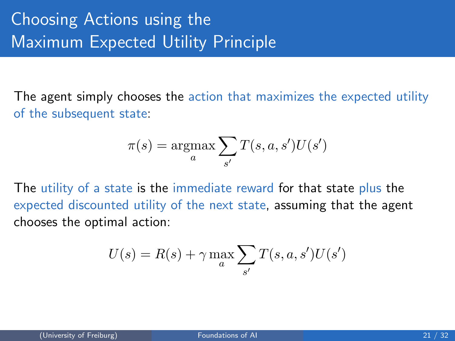# Choosing Actions using the **Maximum Expected Utility Principle**

The agent simply chooses the action that maximizes the expected utility of the subsequent state:

$$
\pi(s) = \operatorname*{argmax}_{a} \sum_{s'} T(s, a, s') U(s')
$$

The utility of a state is the immediate reward for that state plus the expected discounted utility of the next state, assuming that the agent chooses the optimal action:

$$
U(s) = R(s) + \gamma \max_{a} \sum_{s'} T(s, a, s')U(s')
$$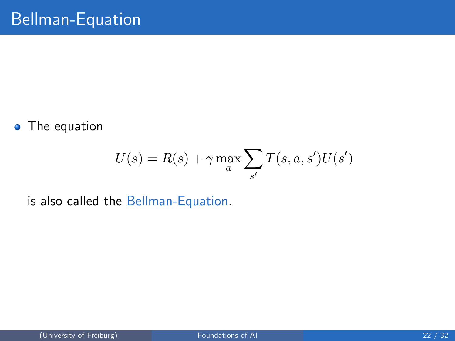• The equation

$$
U(s) = R(s) + \gamma \max_{a} \sum_{s'} T(s, a, s')U(s')
$$

is also called the Bellman-Equation.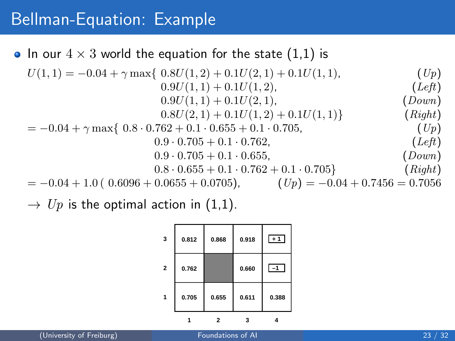## Bellman-Equation: Example

## • In our  $4 \times 3$  world the equation for the state (1,1) is

$$
U(1,1) = -0.04 + \gamma \max\{ 0.8U(1,2) + 0.1U(2,1) + 0.1U(1,1),
$$
  
\n
$$
0.9U(1,1) + 0.1U(1,2),
$$
  
\n
$$
0.9U(1,1) + 0.1U(2,1),
$$
  
\n
$$
0.8U(2,1) + 0.1U(1,2) + 0.1U(1,1)
$$
  
\n
$$
0.8U(2,1) + 0.1U(1,2) + 0.1U(1,1)
$$
  
\n
$$
0.8U(2,1) + 0.1U(1,2) + 0.1U(1,1)
$$
  
\n
$$
0.8U(2,1) + 0.1U(1,2) + 0.1U(1,1)
$$
  
\n
$$
0.8U(2,1) + 0.1U(1,2) + 0.1U(1,1)
$$
  
\n
$$
0.8U(2,1) + 0.1U(1,2) + 0.1U(1,1)
$$
  
\n
$$
0.8U(2,1) + 0.1U(1,2) + 0.1U(1,1)
$$
  
\n
$$
0.8U(2,1) + 0.1U(1,2) + 0.1U(1,1)
$$
  
\n
$$
0.8U(2,1) + 0.1U(1,2) + 0.1U(1,1)
$$
  
\n
$$
0.8U(2,1) + 0.1U(1,2) + 0.1U(1,1)
$$
  
\n
$$
0.8U(2,1) + 0.1U(1,2) + 0.1U(1,1)
$$
  
\n
$$
0.8U(2,1) + 0.1U(1,2) + 0.1U(1,1)
$$
  
\n
$$
0.9U(1,1) + 0.1U(2,1),
$$
  
\n
$$
0.9U(1,1) + 0.1U(2,1),
$$
  
\n
$$
0.9U(1,1) + 0.1U(2,1),
$$
  
\n
$$
0.9U(2,1) + 0.1U(1,2),
$$
  
\n

 $\rightarrow U_p$  is the optimal action in (1,1).

| 3              | 0.812 | 0.868 | 0.918 | $+1$  |
|----------------|-------|-------|-------|-------|
| $\overline{2}$ | 0.762 |       | 0.660 | $-1$  |
| 1              | 0.705 | 0.655 | 0.611 | 0.388 |
|                |       |       |       |       |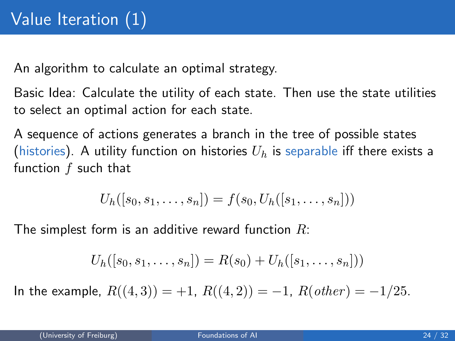An algorithm to calculate an optimal strategy.

Basic Idea: Calculate the utility of each state. Then use the state utilities to select an optimal action for each state.

A sequence of actions generates a branch in the tree of possible states (histories). A utility function on histories  $U_h$  is separable iff there exists a function  $f$  such that

$$
U_h([s_0, s_1, \ldots, s_n]) = f(s_0, U_h([s_1, \ldots, s_n]))
$$

The simplest form is an additive reward function  $R$ :

$$
U_h([s_0, s_1, \ldots, s_n]) = R(s_0) + U_h([s_1, \ldots, s_n]))
$$

In the example,  $R((4,3)) = +1$ ,  $R((4,2)) = -1$ ,  $R(other) = -1/25$ .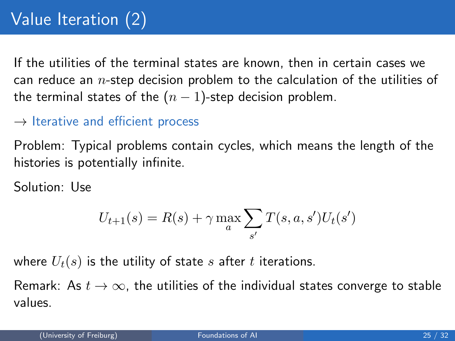# Value Iteration (2)

If the utilities of the terminal states are known, then in certain cases we can reduce an  $n$ -step decision problem to the calculation of the utilities of the terminal states of the  $(n - 1)$ -step decision problem.

#### $\rightarrow$  Iterative and efficient process

Problem: Typical problems contain cycles, which means the length of the histories is potentially infinite.

Solution: Use

$$
U_{t+1}(s) = R(s) + \gamma \max_{a} \sum_{s'} T(s, a, s') U_t(s')
$$

where  $U_t(s)$  is the utility of state s after t iterations.

Remark: As  $t \to \infty$ , the utilities of the individual states converge to stable values.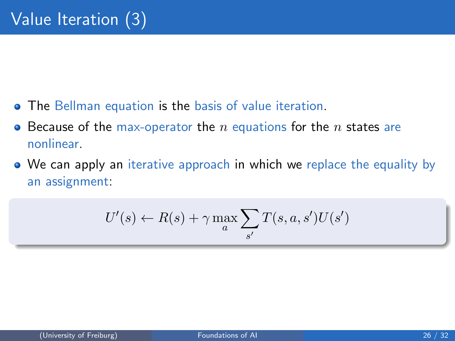- **•** The Bellman equation is the basis of value iteration.
- Because of the max-operator the n equations for the n states are nonlinear.
- We can apply an iterative approach in which we replace the equality by an assignment:

$$
U'(s) \leftarrow R(s) + \gamma \max_{a} \sum_{s'} T(s, a, s')U(s')
$$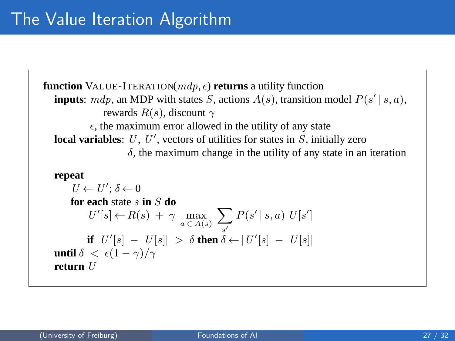```
function VALUE-ITERATION(mdp, \epsilon) returns a utility function
inputs: mdp, an MDP with states S, actions A(s), transition model P(s' | s, a),
             rewards R(s), discount \gamma\epsilon, the maximum error allowed in the utility of any state
local variables: U, U', vectors of utilities for states in S, initially zero
                   \delta, the maximum change in the utility of any state in an iteration
repeat
    U \leftarrow U'; \delta \leftarrow 0for each state s in S do
         U'[s] \leftarrow R(s) + \gamma \max_{a \in A(s)}\sums′
                                                P(s' | s, a) U[s']if |U'[s] - U[s]| > \delta then \delta \leftarrow |U'[s] - U[s]|until \delta < \epsilon(1-\gamma)/\gammareturn U
```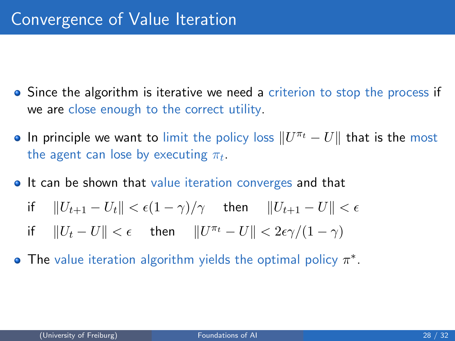- Since the algorithm is iterative we need a criterion to stop the process if we are close enough to the correct utility.
- In principle we want to limit the policy loss  $\|U^{\pi_t} U\|$  that is the most the agent can lose by executing  $\pi_t.$
- **It can be shown that value iteration converges and that**

$$
\text{if} \quad ||U_{t+1} - U_t|| < \epsilon (1 - \gamma) / \gamma \quad \text{ then} \quad ||U_{t+1} - U|| < \epsilon
$$

- if  $||U_t U|| < \epsilon$  then  $||U^{\pi_t} U|| < 2\epsilon \gamma/(1 \gamma)$
- The value iteration algorithm yields the optimal policy  $\pi^*$ .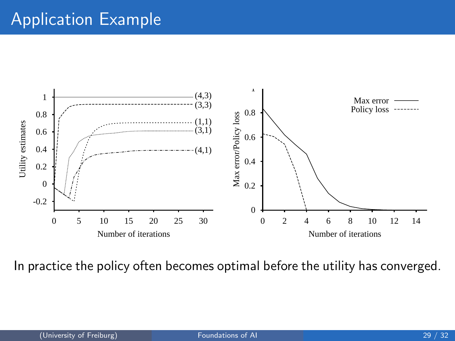# Application Example



In practice the policy often becomes optimal before the utility has converged.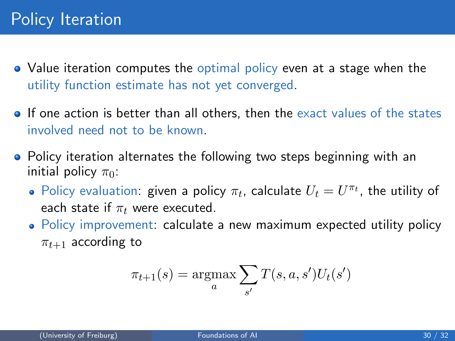- Value iteration computes the optimal policy even at a stage when the utility function estimate has not yet converged.
- **If one action is better than all others, then the exact values of the states** involved need not to be known.
- Policy iteration alternates the following two steps beginning with an initial policy  $\pi_0$ :
	- Policy evaluation: given a policy  $\pi_t$ , calculate  $U_t = U^{\pi_t}$ , the utility of each state if  $\pi_t$  were executed.
	- Policy improvement: calculate a new maximum expected utility policy  $\pi_{t+1}$  according to

$$
\pi_{t+1}(s) = \underset{a}{\operatorname{argmax}} \sum_{s'} T(s, a, s') U_t(s')
$$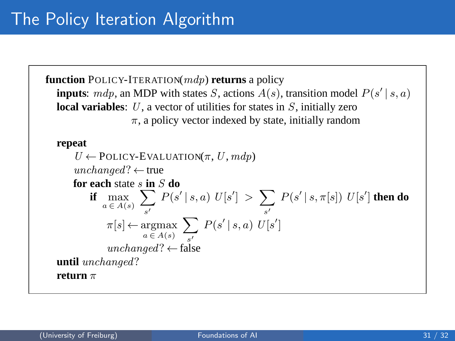**function** POLICY-ITERATION(mdp) **returns** a policy **inputs**:  $mdp$ , an MDP with states S, actions  $A(s)$ , transition model  $P(s' | s, a)$ **local variables**: U, a vector of utilities for states in S, initially zero  $\pi$ , a policy vector indexed by state, initially random **repeat**  $U \leftarrow$  POLICY-EVALUATION( $\pi$ ,  $U$ ,  $mdp$ )  $unchanged? \leftarrow true$ **for each** state s **in** S **do if**  $\max_{a \in A(s)}$  $\sum$ s′  $P(s' | s, a) U[s'] > \sum$ s′  $P(s' | s, \pi[s]) U[s']$  then do  $\pi[s] \leftarrow \mathop{\mathrm{argmax}}_{a \in A(s)}$  $\sum$ s′  $P(s' | s, a) U[s']$ unchanged?  $\leftarrow$  false **until** unchanged? **return** π